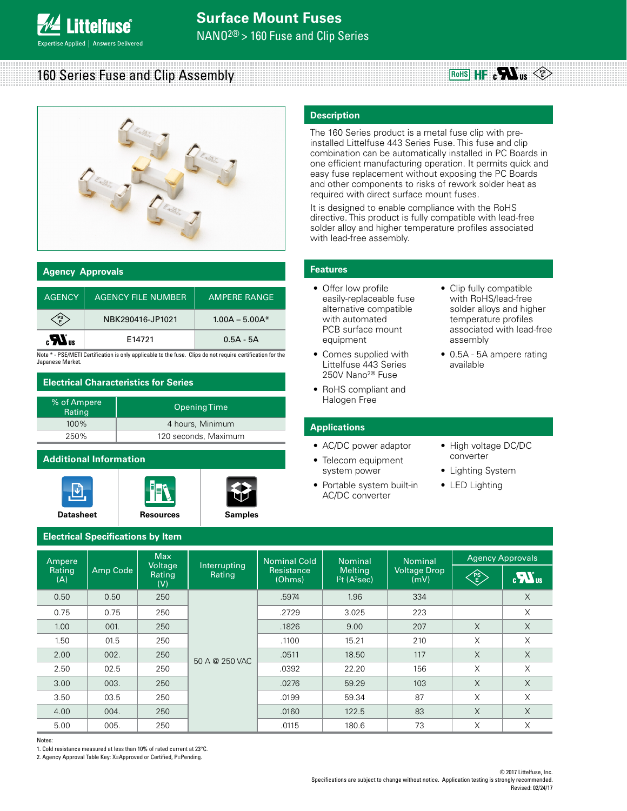NANO2® > 160 Fuse and Clip Series

#### 160 Series Fuse and Clip Assembly RoHS  $H \cdot e$  **N**  $\log$   $\leq$



### **Agency Approvals**

**ittelfuse** 

pertise Applied | Answers Delivered

| <b>AGENCY</b> | <b>AGENCY FILE NUMBER</b> | <b>AMPERE RANGE</b> |
|---------------|---------------------------|---------------------|
|               |                           |                     |
| PS            | NBK290416-JP1021          | $1.00A - 5.00A*$    |
| $\mathbf{r}$  | F14721                    | $0.5A - 5A$         |

### **Electrical Characteristics for Series**

| % of Ampere<br>Rating | Opening Time         |
|-----------------------|----------------------|
| $100\%$               | 4 hours, Minimum     |
| 250%                  | 120 seconds, Maximum |

# **Additional Information**







# **Description**

## **Features**

- Offer low profile easily-replaceable fuse alternative compatible with automated PCB surface mount equipment
- Comes supplied with Littelfuse 443 Series 250V Nano2® Fuse
- RoHS compliant and Halogen Free

### **Applications**

- AC/DC power adaptor
- Telecom equipment system power
- Portable system built-in AC/DC converter
- Clip fully compatible with RoHS/lead-free solder alloys and higher temperature profiles associated with lead-free assembly
- 0.5A 5A ampere rating available
- High voltage DC/DC converter
- Lighting System
- LED Lighting

# **Electrical Specifications by Item**

|                                                           |                                              |                                        |                                                                                                                               |                                             | <b>Description</b>                                                                                                                             |                                                                                                                                                                                                                                                                                                                                                                                                                                                                                                                                                                                             |                                                |                                                           |
|-----------------------------------------------------------|----------------------------------------------|----------------------------------------|-------------------------------------------------------------------------------------------------------------------------------|---------------------------------------------|------------------------------------------------------------------------------------------------------------------------------------------------|---------------------------------------------------------------------------------------------------------------------------------------------------------------------------------------------------------------------------------------------------------------------------------------------------------------------------------------------------------------------------------------------------------------------------------------------------------------------------------------------------------------------------------------------------------------------------------------------|------------------------------------------------|-----------------------------------------------------------|
|                                                           |                                              |                                        |                                                                                                                               |                                             | with lead-free assembly.                                                                                                                       | The 160 Series product is a metal fuse clip with pre-<br>installed Littelfuse 443 Series Fuse. This fuse and clip<br>combination can be automatically installed in PC Boards in<br>one efficient manufacturing operation. It permits quick and<br>easy fuse replacement without exposing the PC Boards<br>and other components to risks of rework solder heat as<br>required with direct surface mount fuses.<br>It is designed to enable compliance with the RoHS<br>directive. This product is fully compatible with lead-free<br>solder alloy and higher temperature profiles associated |                                                |                                                           |
| <b>Agency Approvals</b>                                   |                                              |                                        |                                                                                                                               |                                             | <b>Features</b>                                                                                                                                |                                                                                                                                                                                                                                                                                                                                                                                                                                                                                                                                                                                             |                                                |                                                           |
| <b>AGENCY</b>                                             |                                              | <b>AGENCY FILE NUMBER</b>              | <b>AMPERE RANGE</b>                                                                                                           |                                             | • Offer low profile<br>easily-replaceable fuse                                                                                                 |                                                                                                                                                                                                                                                                                                                                                                                                                                                                                                                                                                                             | • Clip fully compatible<br>with RoHS/lead-free |                                                           |
| $\left\langle\substack{\text{PS}\ \text{E}}\right\rangle$ |                                              | NBK290416-JP1021                       | $1.00A - 5.00A*$                                                                                                              |                                             | alternative compatible<br>solder alloys and higher<br>with automated<br>temperature profiles<br>PCB surface mount<br>associated with lead-free |                                                                                                                                                                                                                                                                                                                                                                                                                                                                                                                                                                                             |                                                |                                                           |
| $_{\rm c}H_{\rm us}$                                      |                                              | E14721                                 | $0.5A - 5A$                                                                                                                   |                                             | equipment                                                                                                                                      |                                                                                                                                                                                                                                                                                                                                                                                                                                                                                                                                                                                             | assembly                                       |                                                           |
| Japanese Market.                                          |                                              |                                        | Note * - PSE/METI Certification is only applicable to the fuse. Clips do not require certification for the                    |                                             | • Comes supplied with<br>Littelfuse 443 Series<br>250V Nano <sup>2®</sup> Fuse                                                                 |                                                                                                                                                                                                                                                                                                                                                                                                                                                                                                                                                                                             | • 0.5A - 5A ampere rating<br>available         |                                                           |
| % of Ampere                                               | <b>Electrical Characteristics for Series</b> |                                        |                                                                                                                               |                                             | • RoHS compliant and<br>Halogen Free                                                                                                           |                                                                                                                                                                                                                                                                                                                                                                                                                                                                                                                                                                                             |                                                |                                                           |
|                                                           | <b>Opening Time</b><br>Rating                |                                        |                                                                                                                               |                                             |                                                                                                                                                |                                                                                                                                                                                                                                                                                                                                                                                                                                                                                                                                                                                             |                                                |                                                           |
| 4 hours, Minimum<br>100%<br>250%<br>120 seconds, Maximum  |                                              |                                        |                                                                                                                               | <b>Applications</b>                         |                                                                                                                                                |                                                                                                                                                                                                                                                                                                                                                                                                                                                                                                                                                                                             |                                                |                                                           |
|                                                           | <b>Additional Information</b>                |                                        |                                                                                                                               |                                             | • AC/DC power adaptor<br>• Telecom equipment                                                                                                   |                                                                                                                                                                                                                                                                                                                                                                                                                                                                                                                                                                                             | • High voltage DC/DC<br>converter              |                                                           |
| <b>Datasheet</b><br><b>Resources</b>                      |                                              |                                        | • Lighting System<br>system power<br>• LED Lighting<br>• Portable system built-in<br><b>AC/DC</b> converter<br><b>Samples</b> |                                             |                                                                                                                                                |                                                                                                                                                                                                                                                                                                                                                                                                                                                                                                                                                                                             |                                                |                                                           |
|                                                           | <b>Electrical Specifications by Item</b>     |                                        |                                                                                                                               |                                             |                                                                                                                                                |                                                                                                                                                                                                                                                                                                                                                                                                                                                                                                                                                                                             |                                                |                                                           |
| Ampere<br>Rating<br>(A)                                   | Amp Code                                     | <b>Max</b><br>Voltage<br>Rating<br>(V) | Interrupting<br>Rating                                                                                                        | <b>Nominal Cold</b><br>Resistance<br>(Ohms) | <b>Nominal</b><br><b>Melting</b><br>$12t$ (A <sup>2</sup> sec)                                                                                 | Nominal<br><b>Voltage Drop</b><br>(mV)                                                                                                                                                                                                                                                                                                                                                                                                                                                                                                                                                      | B                                              | <b>Agency Approvals</b><br>$\boldsymbol{H}$ <sub>us</sub> |
| 0.50                                                      | 0.50                                         | 250                                    |                                                                                                                               | .5974                                       | 1.96                                                                                                                                           | 334                                                                                                                                                                                                                                                                                                                                                                                                                                                                                                                                                                                         |                                                | X                                                         |
| 0.75                                                      | 0.75                                         | 250                                    |                                                                                                                               | .2729                                       | 3.025                                                                                                                                          | 223                                                                                                                                                                                                                                                                                                                                                                                                                                                                                                                                                                                         |                                                | Χ                                                         |
| 1.00                                                      | 001.                                         | 250                                    |                                                                                                                               | .1826                                       | 9.00                                                                                                                                           | 207                                                                                                                                                                                                                                                                                                                                                                                                                                                                                                                                                                                         | $\times$                                       | $\times$                                                  |
| 1.50                                                      | 01.5                                         | 250                                    |                                                                                                                               | .1100                                       | 15.21                                                                                                                                          | 210                                                                                                                                                                                                                                                                                                                                                                                                                                                                                                                                                                                         | X                                              | X                                                         |
| 2.00                                                      | 002.                                         | 250                                    | 50 A @ 250 VAC                                                                                                                | .0511                                       | 18.50                                                                                                                                          | 117                                                                                                                                                                                                                                                                                                                                                                                                                                                                                                                                                                                         | $\mathsf X$                                    | $\mathsf X$                                               |
| 2.50                                                      | 02.5                                         | 250                                    |                                                                                                                               | .0392                                       | 22.20                                                                                                                                          | 156                                                                                                                                                                                                                                                                                                                                                                                                                                                                                                                                                                                         | X                                              | X                                                         |
| 3.00                                                      | 003.                                         | 250                                    |                                                                                                                               | .0276                                       | 59.29                                                                                                                                          | 103                                                                                                                                                                                                                                                                                                                                                                                                                                                                                                                                                                                         | $\times$                                       | $\times$                                                  |
| 3.50                                                      | 03.5                                         | 250                                    |                                                                                                                               | .0199                                       | 59.34                                                                                                                                          | 87                                                                                                                                                                                                                                                                                                                                                                                                                                                                                                                                                                                          | X                                              | X                                                         |
| 4.00                                                      | 004.                                         | 250                                    |                                                                                                                               | .0160                                       | 122.5                                                                                                                                          | 83                                                                                                                                                                                                                                                                                                                                                                                                                                                                                                                                                                                          | $\mathsf X$                                    | X                                                         |
| 5.00                                                      | 005.                                         | 250                                    |                                                                                                                               | .0115                                       | 180.6                                                                                                                                          | 73                                                                                                                                                                                                                                                                                                                                                                                                                                                                                                                                                                                          | X                                              | X                                                         |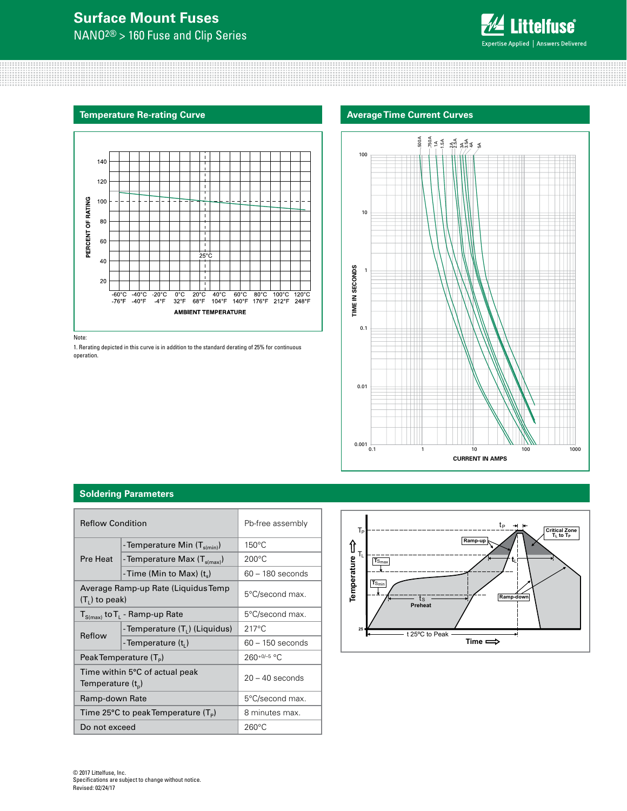# **Surface Mount Fuses**

NANO2® > 160 Fuse and Clip Series



## **Temperature Re-rating Curve**



Note:

1. Rerating depicted in this curve is in addition to the standard derating of 25% for continuous operation.



## **Soldering Parameters**

| <b>Reflow Condition</b>                               |                                           | Pb-free assembly   |  |
|-------------------------------------------------------|-------------------------------------------|--------------------|--|
|                                                       | - Temperature Min $(T_{\text{s(min)}})$   | $150^{\circ}$ C    |  |
| Pre Heat                                              | -Temperature Max $(T_{\text{s(max)}})$    | $200^{\circ}$ C    |  |
|                                                       | - Time (Min to Max) $(t_s)$               | $60 - 180$ seconds |  |
| $(T1)$ to peak)                                       | Average Ramp-up Rate (Liquidus Temp       | 5°C/second max.    |  |
| $T_{S(max)}$ to $T_L$ - Ramp-up Rate                  |                                           | 5°C/second max.    |  |
|                                                       | -Temperature (T <sub>1</sub> ) (Liquidus) | $217^{\circ}$ C    |  |
| Reflow                                                | -Temperature $(t_i)$                      | $60 - 150$ seconds |  |
| Peak Temperature $(T_P)$                              |                                           | $260+0/-5$ °C      |  |
| Time within 5°C of actual peak<br>Temperature $(t_n)$ |                                           | $20 - 40$ seconds  |  |
| Ramp-down Rate                                        |                                           | 5°C/second max.    |  |
| Time 25°C to peak Temperature $(T_P)$                 |                                           | 8 minutes max.     |  |
| Do not exceed                                         |                                           | $260^{\circ}$ C    |  |